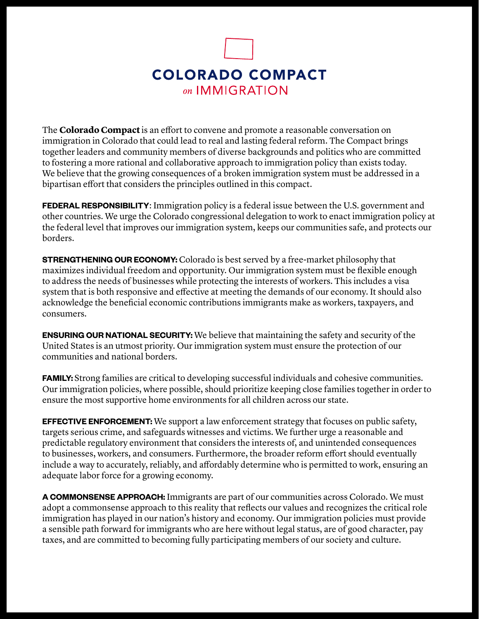

The **Colorado Compact** is an effort to convene and promote a reasonable conversation on immigration in Colorado that could lead to real and lasting federal reform. The Compact brings together leaders and community members of diverse backgrounds and politics who are committed to fostering a more rational and collaborative approach to immigration policy than exists today. We believe that the growing consequences of a broken immigration system must be addressed in a bipartisan effort that considers the principles outlined in this compact.

**FEDERAL RESPONSIBILITY:** Immigration policy is a federal issue between the U.S. government and other countries. We urge the Colorado congressional delegation to work to enact immigration policy at the federal level that improves our immigration system, keeps our communities safe, and protects our borders.

**STRENGTHENING OUR ECONOMY:** Colorado is best served by a free-market philosophy that maximizes individual freedom and opportunity. Our immigration system must be flexible enough to address the needs of businesses while protecting the interests of workers. This includes a visa system that is both responsive and effective at meeting the demands of our economy. It should also acknowledge the beneficial economic contributions immigrants make as workers, taxpayers, and consumers.

**ENSURING OUR NATIONAL SECURITY:** We believe that maintaining the safety and security of the United States is an utmost priority. Our immigration system must ensure the protection of our communities and national borders.

**FAMILY:** Strong families are critical to developing successful individuals and cohesive communities. Our immigration policies, where possible, should prioritize keeping close families together in order to ensure the most supportive home environments for all children across our state.

**EFFECTIVE ENFORCEMENT:** We support a law enforcement strategy that focuses on public safety, targets serious crime, and safeguards witnesses and victims. We further urge a reasonable and predictable regulatory environment that considers the interests of, and unintended consequences to businesses, workers, and consumers. Furthermore, the broader reform effort should eventually include a way to accurately, reliably, and affordably determine who is permitted to work, ensuring an adequate labor force for a growing economy.

**A COMMONSENSE APPROACH:** Immigrants are part of our communities across Colorado. We must adopt a commonsense approach to this reality that reflects our values and recognizes the critical role immigration has played in our nation's history and economy. Our immigration policies must provide a sensible path forward for immigrants who are here without legal status, are of good character, pay taxes, and are committed to becoming fully participating members of our society and culture.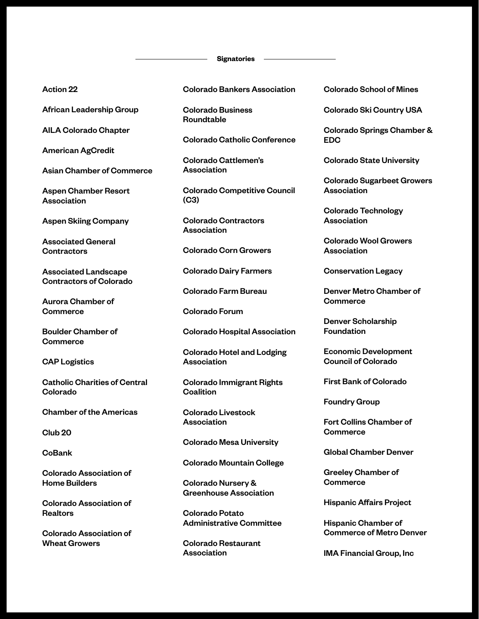#### **Signatories**

### Action 22

African Leadership Group

AILA Colorado Chapter

American AgCredit

Asian Chamber of Commerce

Aspen Chamber Resort Association

Aspen Skiing Company

Associated General **Contractors** 

Associated Landscape Contractors of Colorado

Aurora Chamber of **Commerce** 

Boulder Chamber of **Commerce** 

CAP Logistics

Catholic Charities of Central Colorado

Chamber of the Americas

Club 20

**CoBank** 

Colorado Association of Home Builders

Colorado Association of **Realtors** 

Colorado Association of Wheat Growers

Colorado Bankers Association

Colorado Business Roundtable

Colorado Catholic Conference

Colorado Cattlemen's Association

Colorado Competitive Council (C3)

Colorado Contractors Association

Colorado Corn Growers

Colorado Dairy Farmers

Colorado Farm Bureau

Colorado Forum

Colorado Hospital Association

Colorado Hotel and Lodging Association

Colorado Immigrant Rights **Coalition** 

Colorado Livestock **Association** 

Colorado Mesa University

Colorado Mountain College

Colorado Nursery & Greenhouse Association

Colorado Potato Administrative Committee

Colorado Restaurant Association

Colorado School of Mines

Colorado Ski Country USA

Colorado Springs Chamber & EDC

Colorado State University

Colorado Sugarbeet Growers Association

Colorado Technology Association

Colorado Wool Growers Association

Conservation Legacy

Denver Metro Chamber of **Commerce** 

Denver Scholarship Foundation

Economic Development Council of Colorado

First Bank of Colorado

Foundry Group

Fort Collins Chamber of **Commerce** 

Global Chamber Denver

Greeley Chamber of **Commerce** 

Hispanic Affairs Project

Hispanic Chamber of Commerce of Metro Denver

IMA Financial Group, Inc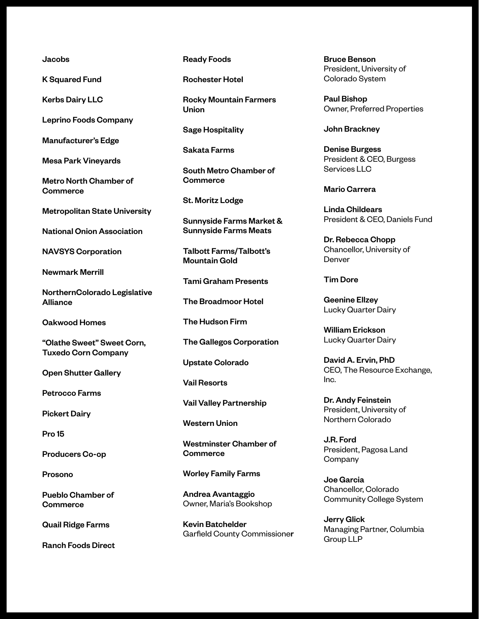### Jacobs

K Squared Fund

Kerbs Dairy LLC

Leprino Foods Company

Manufacturer's Edge

Mesa Park Vineyards

Metro North Chamber of **Commerce** 

Metropolitan State University

National Onion Association

NAVSYS Corporation

Newmark Merrill

NorthernColorado Legislative Alliance

Oakwood Homes

"Olathe Sweet" Sweet Corn, Tuxedo Corn Company

Open Shutter Gallery

Petrocco Farms

Pickert Dairy

Pro 15

Producers Co-op

Prosono

Pueblo Chamber of **Commerce** 

Quail Ridge Farms

Ranch Foods Direct

Ready Foods

Rochester Hotel

Rocky Mountain Farmers Union

Sage Hospitality

Sakata Farms

South Metro Chamber of **Commerce** 

St. Moritz Lodge

Sunnyside Farms Market & Sunnyside Farms Meats

Talbott Farms/Talbott's Mountain Gold

Tami Graham Presents

The Broadmoor Hotel

The Hudson Firm

The Gallegos Corporation

Upstate Colorado

Vail Resorts

Vail Valley Partnership

Western Union

Westminster Chamber of **Commerce** 

Worley Family Farms

Andrea Avantaggio Owner, Maria's Bookshop

Kevin Batchelder Garfield County Commissioner Bruce Benson President, University of Colorado System

Paul Bishop Owner, Preferred Properties

John Brackney

Denise Burgess President & CEO, Burgess Services LLC

Mario Carrera

Linda Childears President & CEO, Daniels Fund

Dr. Rebecca Chopp Chancellor, University of Denver

# Tim Dore

Geenine Ellzey Lucky Quarter Dairy

William Erickson Lucky Quarter Dairy

David A. Ervin, PhD CEO, The Resource Exchange, Inc.

Dr. Andy Feinstein President, University of Northern Colorado

J.R. Ford President, Pagosa Land **Company** 

Joe Garcia Chancellor, Colorado Community College System

Jerry Glick Managing Partner, Columbia Group LLP